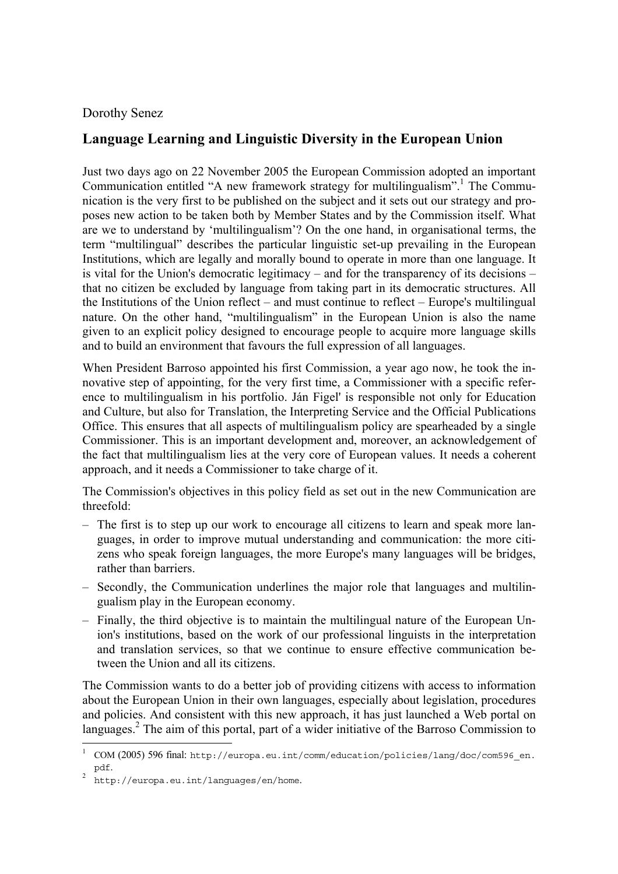## Dorothy Senez

## **Language Learning and Linguistic Diversity in the European Union**

Just two days ago on 22 November 2005 the European Commission adopted an important Communication entitled "A new framework strategy for multilingualism".<sup>1</sup> The Communication is the very first to be published on the subject and it sets out our strategy and proposes new action to be taken both by Member States and by the Commission itself. What are we to understand by 'multilingualism'? On the one hand, in organisational terms, the term "multilingual" describes the particular linguistic set-up prevailing in the European Institutions, which are legally and morally bound to operate in more than one language. It is vital for the Union's democratic legitimacy – and for the transparency of its decisions – that no citizen be excluded by language from taking part in its democratic structures. All the Institutions of the Union reflect – and must continue to reflect – Europe's multilingual nature. On the other hand, "multilingualism" in the European Union is also the name given to an explicit policy designed to encourage people to acquire more language skills and to build an environment that favours the full expression of all languages.

When President Barroso appointed his first Commission, a year ago now, he took the innovative step of appointing, for the very first time, a Commissioner with a specific reference to multilingualism in his portfolio. Ján Figel' is responsible not only for Education and Culture, but also for Translation, the Interpreting Service and the Official Publications Office. This ensures that all aspects of multilingualism policy are spearheaded by a single Commissioner. This is an important development and, moreover, an acknowledgement of the fact that multilingualism lies at the very core of European values. It needs a coherent approach, and it needs a Commissioner to take charge of it.

The Commission's objectives in this policy field as set out in the new Communication are threefold:

- The first is to step up our work to encourage all citizens to learn and speak more languages, in order to improve mutual understanding and communication: the more citizens who speak foreign languages, the more Europe's many languages will be bridges, rather than barriers.
- Secondly, the Communication underlines the major role that languages and multilingualism play in the European economy.
- Finally, the third objective is to maintain the multilingual nature of the European Union's institutions, based on the work of our professional linguists in the interpretation and translation services, so that we continue to ensure effective communication between the Union and all its citizens.

The Commission wants to do a better job of providing citizens with access to information about the European Union in their own languages, especially about legislation, procedures and policies. And consistent with this new approach, it has just launched a Web portal on languages.<sup>2</sup> The aim of this portal, part of a wider initiative of the Barroso Commission to

l

<sup>1</sup> COM (2005) 596 final: [http://europa.eu.int/comm/education/policies/lang/doc/com596\\_en.](http://europa.eu.int/comm/education/policies/lang/doc/com596_en. pdf) 

pdf. 2 <http://europa.eu.int/languages/en/home>.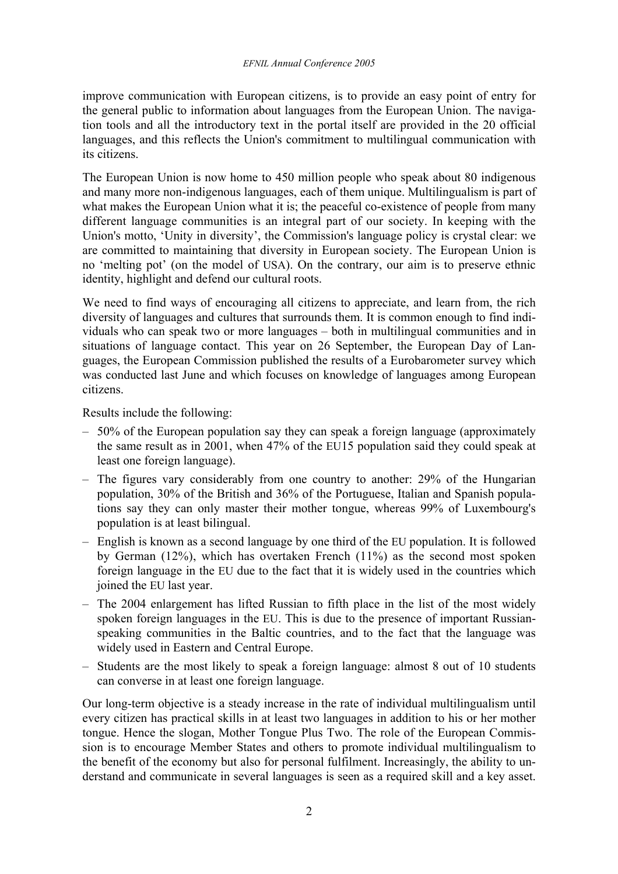improve communication with European citizens, is to provide an easy point of entry for the general public to information about languages from the European Union. The navigation tools and all the introductory text in the portal itself are provided in the 20 official languages, and this reflects the Union's commitment to multilingual communication with its citizens.

The European Union is now home to 450 million people who speak about 80 indigenous and many more non-indigenous languages, each of them unique. Multilingualism is part of what makes the European Union what it is; the peaceful co-existence of people from many different language communities is an integral part of our society. In keeping with the Union's motto, 'Unity in diversity', the Commission's language policy is crystal clear: we are committed to maintaining that diversity in European society. The European Union is no 'melting pot' (on the model of USA). On the contrary, our aim is to preserve ethnic identity, highlight and defend our cultural roots.

We need to find ways of encouraging all citizens to appreciate, and learn from, the rich diversity of languages and cultures that surrounds them. It is common enough to find individuals who can speak two or more languages – both in multilingual communities and in situations of language contact. This year on 26 September, the European Day of Languages, the European Commission published the results of a Eurobarometer survey which was conducted last June and which focuses on knowledge of languages among European citizens.

Results include the following:

- 50% of the European population say they can speak a foreign language (approximately the same result as in 2001, when 47% of the EU15 population said they could speak at least one foreign language).
- The figures vary considerably from one country to another: 29% of the Hungarian population, 30% of the British and 36% of the Portuguese, Italian and Spanish populations say they can only master their mother tongue, whereas 99% of Luxembourg's population is at least bilingual.
- English is known as a second language by one third of the EU population. It is followed by German (12%), which has overtaken French (11%) as the second most spoken foreign language in the EU due to the fact that it is widely used in the countries which joined the EU last year.
- The 2004 enlargement has lifted Russian to fifth place in the list of the most widely spoken foreign languages in the EU. This is due to the presence of important Russianspeaking communities in the Baltic countries, and to the fact that the language was widely used in Eastern and Central Europe.
- Students are the most likely to speak a foreign language: almost 8 out of 10 students can converse in at least one foreign language.

Our long-term objective is a steady increase in the rate of individual multilingualism until every citizen has practical skills in at least two languages in addition to his or her mother tongue. Hence the slogan, Mother Tongue Plus Two. The role of the European Commission is to encourage Member States and others to promote individual multilingualism to the benefit of the economy but also for personal fulfilment. Increasingly, the ability to understand and communicate in several languages is seen as a required skill and a key asset.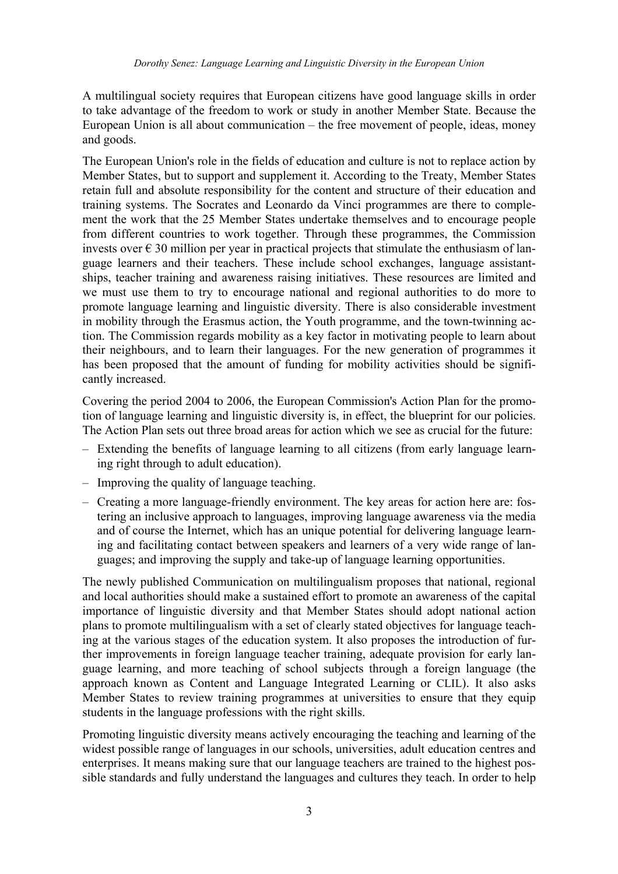A multilingual society requires that European citizens have good language skills in order to take advantage of the freedom to work or study in another Member State. Because the European Union is all about communication – the free movement of people, ideas, money and goods.

The European Union's role in the fields of education and culture is not to replace action by Member States, but to support and supplement it. According to the Treaty, Member States retain full and absolute responsibility for the content and structure of their education and training systems. The Socrates and Leonardo da Vinci programmes are there to complement the work that the 25 Member States undertake themselves and to encourage people from different countries to work together. Through these programmes, the Commission invests over  $\epsilon$  30 million per year in practical projects that stimulate the enthusiasm of language learners and their teachers. These include school exchanges, language assistantships, teacher training and awareness raising initiatives. These resources are limited and we must use them to try to encourage national and regional authorities to do more to promote language learning and linguistic diversity. There is also considerable investment in mobility through the Erasmus action, the Youth programme, and the town-twinning action. The Commission regards mobility as a key factor in motivating people to learn about their neighbours, and to learn their languages. For the new generation of programmes it has been proposed that the amount of funding for mobility activities should be significantly increased.

Covering the period 2004 to 2006, the European Commission's Action Plan for the promotion of language learning and linguistic diversity is, in effect, the blueprint for our policies. The Action Plan sets out three broad areas for action which we see as crucial for the future:

- Extending the benefits of language learning to all citizens (from early language learning right through to adult education).
- Improving the quality of language teaching.
- Creating a more language-friendly environment. The key areas for action here are: fostering an inclusive approach to languages, improving language awareness via the media and of course the Internet, which has an unique potential for delivering language learning and facilitating contact between speakers and learners of a very wide range of languages; and improving the supply and take-up of language learning opportunities.

The newly published Communication on multilingualism proposes that national, regional and local authorities should make a sustained effort to promote an awareness of the capital importance of linguistic diversity and that Member States should adopt national action plans to promote multilingualism with a set of clearly stated objectives for language teaching at the various stages of the education system. It also proposes the introduction of further improvements in foreign language teacher training, adequate provision for early language learning, and more teaching of school subjects through a foreign language (the approach known as Content and Language Integrated Learning or CLIL). It also asks Member States to review training programmes at universities to ensure that they equip students in the language professions with the right skills.

Promoting linguistic diversity means actively encouraging the teaching and learning of the widest possible range of languages in our schools, universities, adult education centres and enterprises. It means making sure that our language teachers are trained to the highest possible standards and fully understand the languages and cultures they teach. In order to help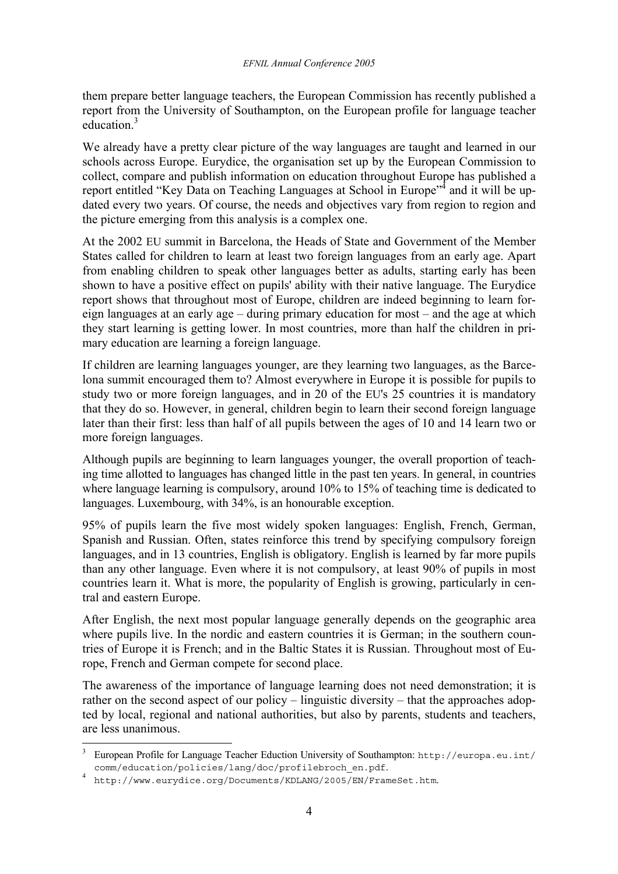them prepare better language teachers, the European Commission has recently published a report from the University of Southampton, on the European profile for language teacher education.<sup>3</sup>

We already have a pretty clear picture of the way languages are taught and learned in our schools across Europe. Eurydice, the organisation set up by the European Commission to collect, compare and publish information on education throughout Europe has published a report entitled "Key Data on Teaching Languages at School in Europe"<sup>4</sup> and it will be updated every two years. Of course, the needs and objectives vary from region to region and the picture emerging from this analysis is a complex one.

At the 2002 EU summit in Barcelona, the Heads of State and Government of the Member States called for children to learn at least two foreign languages from an early age. Apart from enabling children to speak other languages better as adults, starting early has been shown to have a positive effect on pupils' ability with their native language. The Eurydice report shows that throughout most of Europe, children are indeed beginning to learn foreign languages at an early age – during primary education for most – and the age at which they start learning is getting lower. In most countries, more than half the children in primary education are learning a foreign language.

If children are learning languages younger, are they learning two languages, as the Barcelona summit encouraged them to? Almost everywhere in Europe it is possible for pupils to study two or more foreign languages, and in 20 of the EU's 25 countries it is mandatory that they do so. However, in general, children begin to learn their second foreign language later than their first: less than half of all pupils between the ages of 10 and 14 learn two or more foreign languages.

Although pupils are beginning to learn languages younger, the overall proportion of teaching time allotted to languages has changed little in the past ten years. In general, in countries where language learning is compulsory, around 10% to 15% of teaching time is dedicated to languages. Luxembourg, with 34%, is an honourable exception.

95% of pupils learn the five most widely spoken languages: English, French, German, Spanish and Russian. Often, states reinforce this trend by specifying compulsory foreign languages, and in 13 countries, English is obligatory. English is learned by far more pupils than any other language. Even where it is not compulsory, at least 90% of pupils in most countries learn it. What is more, the popularity of English is growing, particularly in central and eastern Europe.

After English, the next most popular language generally depends on the geographic area where pupils live. In the nordic and eastern countries it is German; in the southern countries of Europe it is French; and in the Baltic States it is Russian. Throughout most of Europe, French and German compete for second place.

The awareness of the importance of language learning does not need demonstration; it is rather on the second aspect of our policy – linguistic diversity – that the approaches adopted by local, regional and national authorities, but also by parents, students and teachers, are less unanimous.

l

<sup>3</sup> European Profile for Language Teacher Eduction University of Southampton: http://europa.eu.int/ comm/education/policies/lang/doc/profilebroch\_en.pdf[.](http://europa.eu.int/comm/education/policies/lang/doc/profilebroch_en.pdf) 4

<http://www.eurydice.org/Documents/KDLANG/2005/EN/FrameSet.htm>.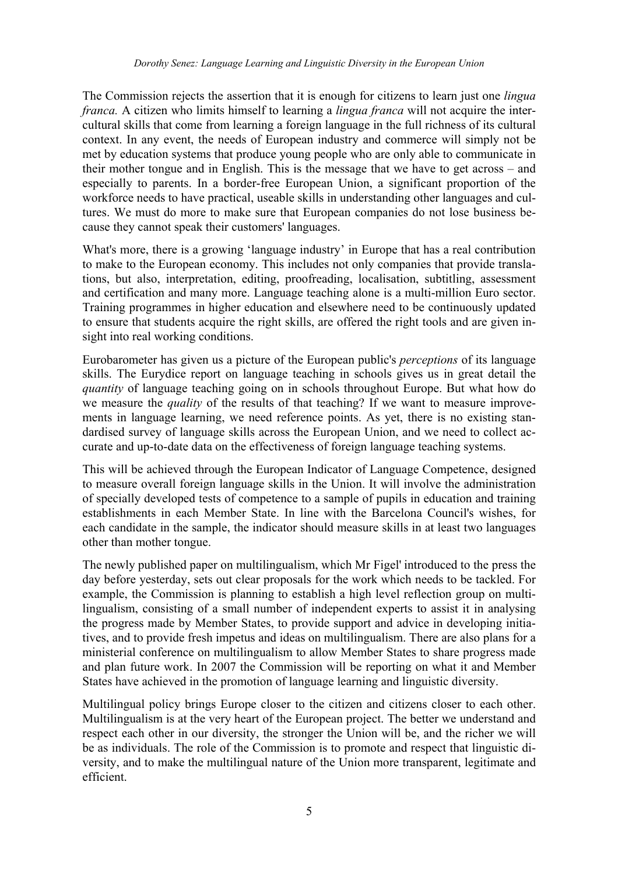The Commission rejects the assertion that it is enough for citizens to learn just one *lingua franca.* A citizen who limits himself to learning a *lingua franca* will not acquire the intercultural skills that come from learning a foreign language in the full richness of its cultural context. In any event, the needs of European industry and commerce will simply not be met by education systems that produce young people who are only able to communicate in their mother tongue and in English. This is the message that we have to get across – and especially to parents. In a border-free European Union, a significant proportion of the workforce needs to have practical, useable skills in understanding other languages and cultures. We must do more to make sure that European companies do not lose business because they cannot speak their customers' languages.

What's more, there is a growing 'language industry' in Europe that has a real contribution to make to the European economy. This includes not only companies that provide translations, but also, interpretation, editing, proofreading, localisation, subtitling, assessment and certification and many more. Language teaching alone is a multi-million Euro sector. Training programmes in higher education and elsewhere need to be continuously updated to ensure that students acquire the right skills, are offered the right tools and are given insight into real working conditions.

Eurobarometer has given us a picture of the European public's *perceptions* of its language skills. The Eurydice report on language teaching in schools gives us in great detail the *quantity* of language teaching going on in schools throughout Europe. But what how do we measure the *quality* of the results of that teaching? If we want to measure improvements in language learning, we need reference points. As yet, there is no existing standardised survey of language skills across the European Union, and we need to collect accurate and up-to-date data on the effectiveness of foreign language teaching systems.

This will be achieved through the European Indicator of Language Competence, designed to measure overall foreign language skills in the Union. It will involve the administration of specially developed tests of competence to a sample of pupils in education and training establishments in each Member State. In line with the Barcelona Council's wishes, for each candidate in the sample, the indicator should measure skills in at least two languages other than mother tongue.

The newly published paper on multilingualism, which Mr Figel' introduced to the press the day before yesterday, sets out clear proposals for the work which needs to be tackled. For example, the Commission is planning to establish a high level reflection group on multilingualism, consisting of a small number of independent experts to assist it in analysing the progress made by Member States, to provide support and advice in developing initiatives, and to provide fresh impetus and ideas on multilingualism. There are also plans for a ministerial conference on multilingualism to allow Member States to share progress made and plan future work. In 2007 the Commission will be reporting on what it and Member States have achieved in the promotion of language learning and linguistic diversity.

Multilingual policy brings Europe closer to the citizen and citizens closer to each other. Multilingualism is at the very heart of the European project. The better we understand and respect each other in our diversity, the stronger the Union will be, and the richer we will be as individuals. The role of the Commission is to promote and respect that linguistic diversity, and to make the multilingual nature of the Union more transparent, legitimate and efficient.